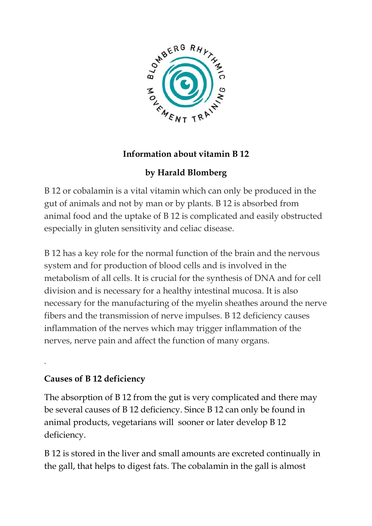

### **Information about vitamin B 12**

# **by Harald Blomberg**

B 12 or cobalamin is a vital vitamin which can only be produced in the gut of animals and not by man or by plants. B 12 is absorbed from animal food and the uptake of B 12 is complicated and easily obstructed especially in gluten sensitivity and celiac disease.

B 12 has a key role for the normal function of the brain and the nervous system and for production of blood cells and is involved in the metabolism of all cells. It is crucial for the synthesis of DNA and for cell division and is necessary for a healthy intestinal mucosa. It is also necessary for the manufacturing of the myelin sheathes around the nerve fibers and the transmission of nerve impulses. B 12 deficiency causes inflammation of the nerves which may trigger inflammation of the nerves, nerve pain and affect the function of many organs.

## **Causes of B 12 deficiency**

.

The absorption of B 12 from the gut is very complicated and there may be several causes of B 12 deficiency. Since B 12 can only be found in animal products, vegetarians will sooner or later develop B 12 deficiency.

B 12 is stored in the liver and small amounts are excreted continually in the gall, that helps to digest fats. The cobalamin in the gall is almost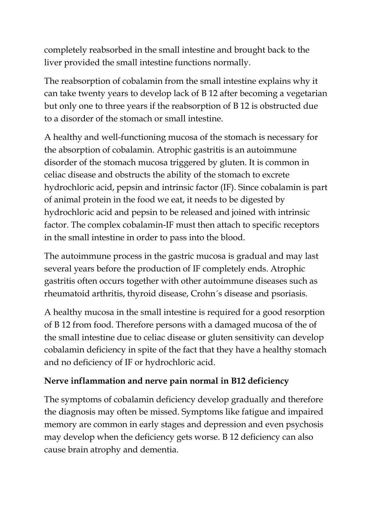completely reabsorbed in the small intestine and brought back to the liver provided the small intestine functions normally.

The reabsorption of cobalamin from the small intestine explains why it can take twenty years to develop lack of B 12 after becoming a vegetarian but only one to three years if the reabsorption of B 12 is obstructed due to a disorder of the stomach or small intestine.

A healthy and well-functioning mucosa of the stomach is necessary for the absorption of cobalamin. Atrophic gastritis is an autoimmune disorder of the stomach mucosa triggered by gluten. It is common in celiac disease and obstructs the ability of the stomach to excrete hydrochloric acid, pepsin and intrinsic factor (IF). Since cobalamin is part of animal protein in the food we eat, it needs to be digested by hydrochloric acid and pepsin to be released and joined with intrinsic factor. The complex cobalamin-IF must then attach to specific receptors in the small intestine in order to pass into the blood.

The autoimmune process in the gastric mucosa is gradual and may last several years before the production of IF completely ends. Atrophic gastritis often occurs together with other autoimmune diseases such as rheumatoid arthritis, thyroid disease, Crohn´s disease and psoriasis.

A healthy mucosa in the small intestine is required for a good resorption of B 12 from food. Therefore persons with a damaged mucosa of the of the small intestine due to celiac disease or gluten sensitivity can develop cobalamin deficiency in spite of the fact that they have a healthy stomach and no deficiency of IF or hydrochloric acid.

## **Nerve inflammation and nerve pain normal in B12 deficiency**

The symptoms of cobalamin deficiency develop gradually and therefore the diagnosis may often be missed. Symptoms like fatigue and impaired memory are common in early stages and depression and even psychosis may develop when the deficiency gets worse. B 12 deficiency can also cause brain atrophy and dementia.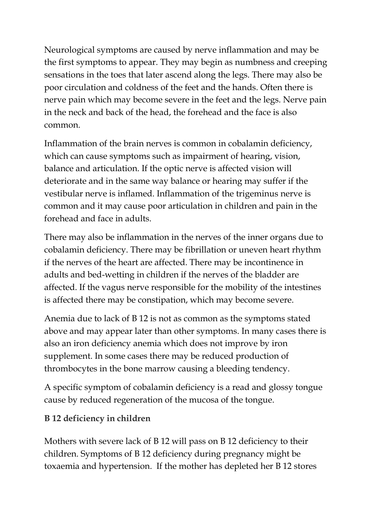Neurological symptoms are caused by nerve inflammation and may be the first symptoms to appear. They may begin as numbness and creeping sensations in the toes that later ascend along the legs. There may also be poor circulation and coldness of the feet and the hands. Often there is nerve pain which may become severe in the feet and the legs. Nerve pain in the neck and back of the head, the forehead and the face is also common.

Inflammation of the brain nerves is common in cobalamin deficiency, which can cause symptoms such as impairment of hearing, vision, balance and articulation. If the optic nerve is affected vision will deteriorate and in the same way balance or hearing may suffer if the vestibular nerve is inflamed. Inflammation of the trigeminus nerve is common and it may cause poor articulation in children and pain in the forehead and face in adults.

There may also be inflammation in the nerves of the inner organs due to cobalamin deficiency. There may be fibrillation or uneven heart rhythm if the nerves of the heart are affected. There may be incontinence in adults and bed-wetting in children if the nerves of the bladder are affected. If the vagus nerve responsible for the mobility of the intestines is affected there may be constipation, which may become severe.

Anemia due to lack of B 12 is not as common as the symptoms stated above and may appear later than other symptoms. In many cases there is also an iron deficiency anemia which does not improve by iron supplement. In some cases there may be reduced production of thrombocytes in the bone marrow causing a bleeding tendency.

A specific symptom of cobalamin deficiency is a read and glossy tongue cause by reduced regeneration of the mucosa of the tongue.

#### **B 12 deficiency in children**

Mothers with severe lack of B 12 will pass on B 12 deficiency to their children. Symptoms of B 12 deficiency during pregnancy might be toxaemia and hypertension. If the mother has depleted her B 12 stores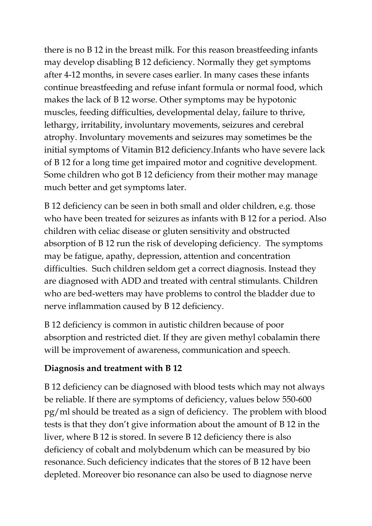there is no B 12 in the breast milk. For this reason breastfeeding infants may develop disabling B 12 deficiency. Normally they get symptoms after 4-12 months, in severe cases earlier. In many cases these infants continue breastfeeding and refuse infant formula or normal food, which makes the lack of B 12 worse. Other symptoms may be hypotonic muscles, feeding difficulties, developmental delay, failure to thrive, lethargy, irritability, involuntary movements, seizures and cerebral atrophy. Involuntary movements and seizures may sometimes be the initial symptoms of Vitamin B12 deficiency.Infants who have severe lack of B 12 for a long time get impaired motor and cognitive development. Some children who got B 12 deficiency from their mother may manage much better and get symptoms later.

B 12 deficiency can be seen in both small and older children, e.g. those who have been treated for seizures as infants with B 12 for a period. Also children with celiac disease or gluten sensitivity and obstructed absorption of B 12 run the risk of developing deficiency. The symptoms may be fatigue, apathy, depression, attention and concentration difficulties. Such children seldom get a correct diagnosis. Instead they are diagnosed with ADD and treated with central stimulants. Children who are bed-wetters may have problems to control the bladder due to nerve inflammation caused by B 12 deficiency.

B 12 deficiency is common in autistic children because of poor absorption and restricted diet. If they are given methyl cobalamin there will be improvement of awareness, communication and speech.

#### **Diagnosis and treatment with B 12**

B 12 deficiency can be diagnosed with blood tests which may not always be reliable. If there are symptoms of deficiency, values below 550-600 pg/ml should be treated as a sign of deficiency. The problem with blood tests is that they don't give information about the amount of B 12 in the liver, where B 12 is stored. In severe B 12 deficiency there is also deficiency of cobalt and molybdenum which can be measured by bio resonance. Such deficiency indicates that the stores of B 12 have been depleted. Moreover bio resonance can also be used to diagnose nerve